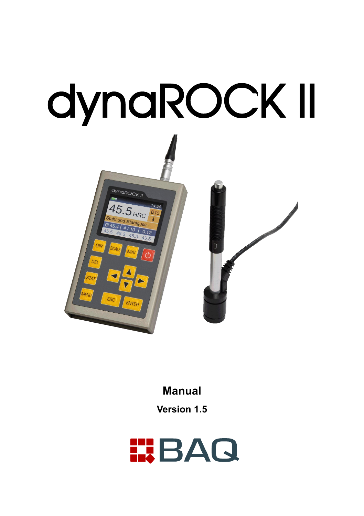# dynaROCK II



# **Manual**

**Version 1.5**

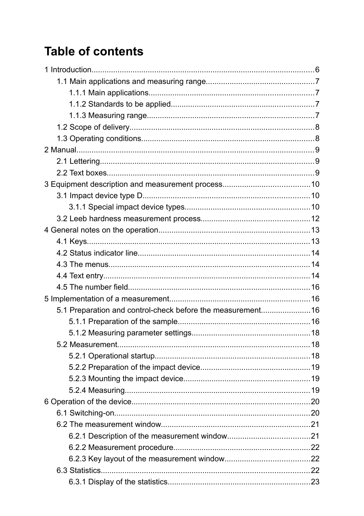# **Table of contents**

| 5.1 Preparation and control-check before the measurement16 |  |
|------------------------------------------------------------|--|
|                                                            |  |
|                                                            |  |
|                                                            |  |
|                                                            |  |
|                                                            |  |
|                                                            |  |
|                                                            |  |
|                                                            |  |
|                                                            |  |
|                                                            |  |
|                                                            |  |
|                                                            |  |
|                                                            |  |
|                                                            |  |
|                                                            |  |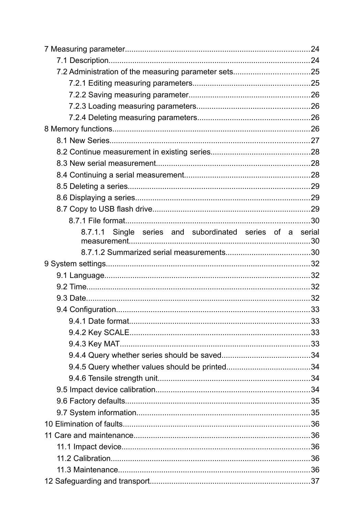| 8.7.1.1 Single series and subordinated series of a serial |  |
|-----------------------------------------------------------|--|
|                                                           |  |
|                                                           |  |
|                                                           |  |
|                                                           |  |
|                                                           |  |
|                                                           |  |
|                                                           |  |
|                                                           |  |
|                                                           |  |
|                                                           |  |
|                                                           |  |
|                                                           |  |
|                                                           |  |
|                                                           |  |
|                                                           |  |
|                                                           |  |
|                                                           |  |
|                                                           |  |
|                                                           |  |
|                                                           |  |
|                                                           |  |
|                                                           |  |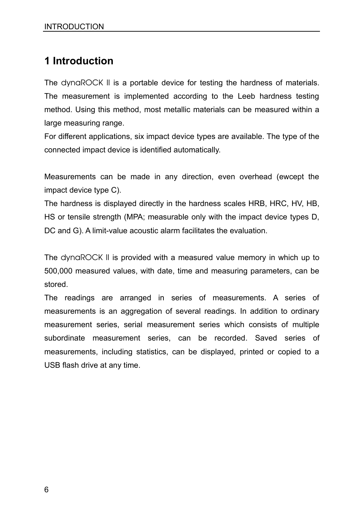# **1 Introduction**

The dynaROCK II is a portable device for testing the hardness of materials. The measurement is implemented according to the Leeb hardness testing method. Using this method, most metallic materials can be measured within a large measuring range.

For different applications, six impact device types are available. The type of the connected impact device is identified automatically.

Measurements can be made in any direction, even overhead (ewcept the impact device type C).

The hardness is displayed directly in the hardness scales HRB, HRC, HV, HB, HS or tensile strength (MPA; measurable only with the impact device types D, DC and G). A limit-value acoustic alarm facilitates the evaluation.

The dynaROCK II is provided with a measured value memory in which up to 500,000 measured values, with date, time and measuring parameters, can be stored.

The readings are arranged in series of measurements. A series of measurements is an aggregation of several readings. In addition to ordinary measurement series, serial measurement series which consists of multiple subordinate measurement series, can be recorded. Saved series of measurements, including statistics, can be displayed, printed or copied to a USB flash drive at any time.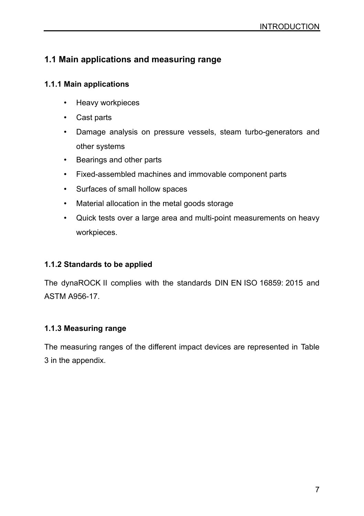## **1.1 Main applications and measuring range**

#### **1.1.1 Main applications**

- Heavy workpieces
- Cast parts
- Damage analysis on pressure vessels, steam turbo-generators and other systems
- Bearings and other parts
- Fixed-assembled machines and immovable component parts
- Surfaces of small hollow spaces
- Material allocation in the metal goods storage
- Quick tests over a large area and multi-point measurements on heavy workpieces.

## **1.1.2 Standards to be applied**

The dynaROCK II complies with the standards DIN EN ISO 16859: 2015 and ASTM A956-17.

## **1.1.3 Measuring range**

The measuring ranges of the different impact devices are represented in [Table](#page-41-0) [3](#page-41-0) in the appendix.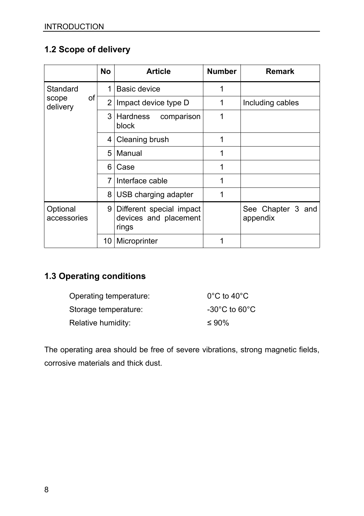## **1.2 Scope of delivery**

|                         | <b>No</b>      | <b>Article</b>                                             | <b>Number</b> | <b>Remark</b>                 |
|-------------------------|----------------|------------------------------------------------------------|---------------|-------------------------------|
| Standard                | 1              | Basic device                                               | 1             |                               |
| of<br>scope<br>delivery | ا 2            | Impact device type D                                       | 1             | Including cables              |
|                         |                | 3 Hardness<br>comparison<br>block                          | 1             |                               |
|                         |                | 4 Cleaning brush                                           | 1             |                               |
|                         | 51             | Manual                                                     | 1             |                               |
|                         | 6              | Case                                                       | 1             |                               |
|                         | 7 <sup>1</sup> | Interface cable                                            | 1             |                               |
|                         |                | 8 USB charging adapter                                     | 1             |                               |
| Optional<br>accessories | 9              | Different special impact<br>devices and placement<br>rings |               | See Chapter 3 and<br>appendix |
|                         |                | 10   Microprinter                                          | 1             |                               |

## **1.3 Operating conditions**

| Operating temperature: | $0^{\circ}$ C to 40 $^{\circ}$ C   |
|------------------------|------------------------------------|
| Storage temperature:   | $-30^{\circ}$ C to 60 $^{\circ}$ C |
| Relative humidity:     | $\leq 90\%$                        |

The operating area should be free of severe vibrations, strong magnetic fields, corrosive materials and thick dust.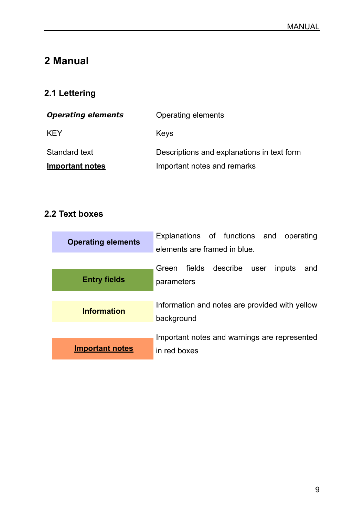# **2 Manual**

# **2.1 Lettering**

| <b>Operating elements</b> | Operating elements                         |
|---------------------------|--------------------------------------------|
| <b>KFY</b>                | Keys                                       |
| Standard text             | Descriptions and explanations in text form |
| Important notes           | Important notes and remarks                |

# **2.2 Text boxes**

| <b>Operating elements</b> | Explanations of functions and operating<br>elements are framed in blue. |
|---------------------------|-------------------------------------------------------------------------|
| <b>Entry fields</b>       | Green fields describe user<br>inputs<br>and<br>parameters               |
| <b>Information</b>        | Information and notes are provided with yellow<br>background            |
| <b>Important notes</b>    | Important notes and warnings are represented<br>in red boxes            |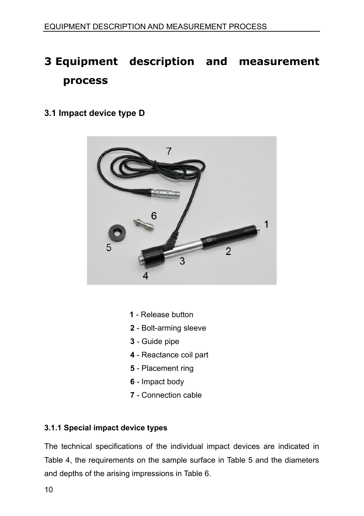# **3 Equipment description and measurement process**

## **3.1 Impact device type D**



- **1** Release button
- **2** Bolt-arming sleeve
- **3** Guide pipe
- **4** Reactance coil part
- **5** Placement ring
- **6** Impact body
- **7** Connection cable

#### **3.1.1 Special impact device types**

The technical specifications of the individual impact devices are indicated in Table 4, the requirements on the sample surface in Table 5 and the diameters and depths of the arising impressions in Table 6.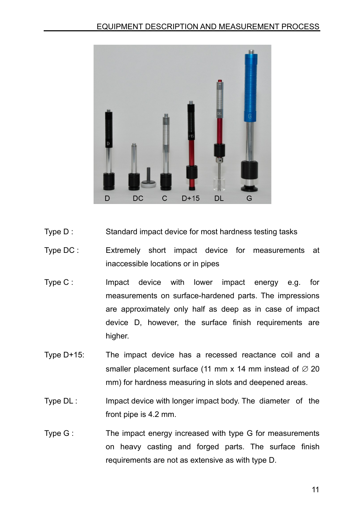

- Type D : Standard impact device for most hardness testing tasks
- Type DC : Extremely short impact device for measurements at inaccessible locations or in pipes
- Type C : Impact device with lower impact energy e.g. for measurements on surface-hardened parts. The impressions are approximately only half as deep as in case of impact device D, however, the surface finish requirements are higher.
- Type D+15: The impact device has a recessed reactance coil and a smaller placement surface (11 mm x 14 mm instead of  $\varnothing$  20 mm) for hardness measuring in slots and deepened areas.
- Type DL : Impact device with longer impact body. The diameter of the front pipe is 4.2 mm.
- Type G : The impact energy increased with type G for measurements on heavy casting and forged parts. The surface finish requirements are not as extensive as with type D.

11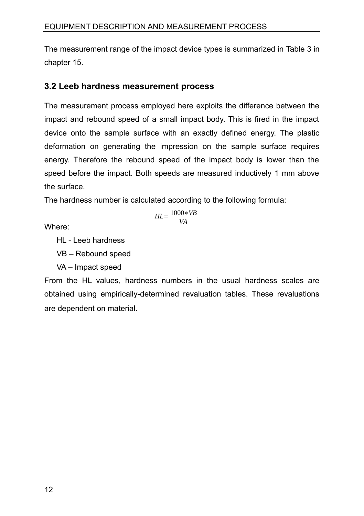The measurement range of the impact device types is summarized in [Table 3](#page-41-0) in chapter [15.](#page-40-0)

## **3.2 Leeb hardness measurement process**

The measurement process employed here exploits the difference between the impact and rebound speed of a small impact body. This is fired in the impact device onto the sample surface with an exactly defined energy. The plastic deformation on generating the impression on the sample surface requires energy. Therefore the rebound speed of the impact body is lower than the speed before the impact. Both speeds are measured inductively 1 mm above the surface.

The hardness number is calculated according to the following formula:

$$
HL = \frac{1000 * VB}{VA}
$$

Where:

HL - Leeb hardness

VB – Rebound speed

VA – Impact speed

From the HL values, hardness numbers in the usual hardness scales are obtained using empirically-determined revaluation tables. These revaluations are dependent on material.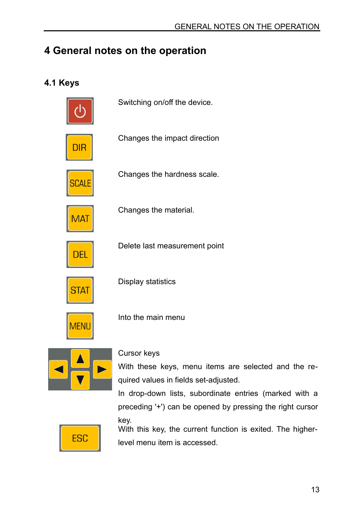# **4 General notes on the operation**

## **4.1 Keys**



Switching on/off the device.

Changes the impact direction

Changes the hardness scale.



Changes the material.



Delete last measurement point



Display statistics



Into the main menu



#### Cursor keys

With these keys, menu items are selected and the required values in fields set-adjusted.

In drop-down lists, subordinate entries (marked with a preceding '+') can be opened by pressing the right cursor key.



With this key, the current function is exited. The higherlevel menu item is accessed.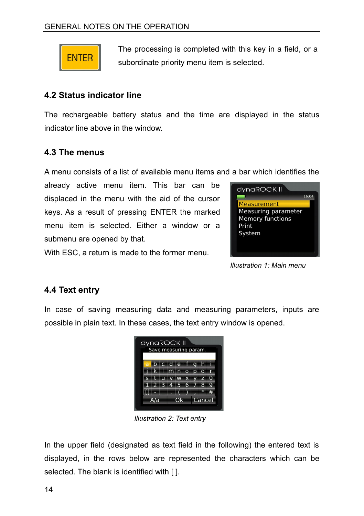

The processing is completed with this key in a field, or a subordinate priority menu item is selected.

## **4.2 Status indicator line**

The rechargeable battery status and the time are displayed in the status indicator line above in the window.

## **4.3 The menus**

A menu consists of a list of available menu items and a bar which identifies the

already active menu item. This bar can be displaced in the menu with the aid of the cursor keys. As a result of pressing ENTER the marked menu item is selected. Either a window or a submenu are opened by that.

With ESC, a return is made to the former menu.



*Illustration 1: Main menu*

# <span id="page-13-0"></span>**4.4 Text entry**

In case of saving measuring data and measuring parameters, inputs are possible in plain text. In these cases, the text entry window is opened.



*Illustration 2: Text entry*

In the upper field (designated as text field in the following) the entered text is displayed, in the rows below are represented the characters which can be selected. The blank is identified with [ ].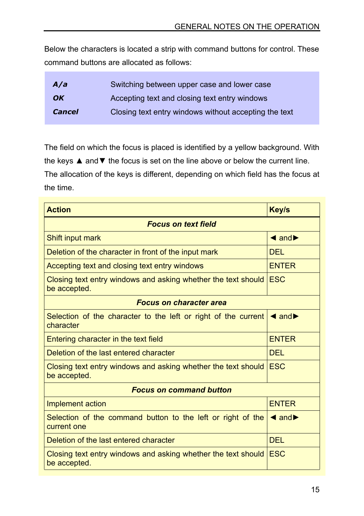Below the characters is located a strip with command buttons for control. These command buttons are allocated as follows:

| A/a           | Switching between upper case and lower case           |
|---------------|-------------------------------------------------------|
| OK            | Accepting text and closing text entry windows         |
| <b>Cancel</b> | Closing text entry windows without accepting the text |

The field on which the focus is placed is identified by a yellow background. With the keys ▲ and ▼ the focus is set on the line above or below the current line. The allocation of the keys is different, depending on which field has the focus at

| <b>Action</b>                                                                 | <b>Key/s</b>                         |  |
|-------------------------------------------------------------------------------|--------------------------------------|--|
| <b>Focus on text field</b>                                                    |                                      |  |
| Shift input mark                                                              | $\triangleleft$ and $\triangleright$ |  |
| Deletion of the character in front of the input mark                          | DEL.                                 |  |
| Accepting text and closing text entry windows                                 | <b>FNTFR</b>                         |  |
| Closing text entry windows and asking whether the text should<br>be accepted. | <b>FSC</b>                           |  |
| <b>Focus on character area</b>                                                |                                      |  |
| Selection of the character to the left or right of the current<br>character   | $\triangleleft$ and $\triangleright$ |  |
| Entering character in the text field                                          | <b>FNTFR</b>                         |  |
| Deletion of the last entered character                                        | DEL.                                 |  |
| Closing text entry windows and asking whether the text should<br>be accepted. | <b>FSC</b>                           |  |
| <b>Focus on command button</b>                                                |                                      |  |
| Implement action                                                              | <b>FNTFR</b>                         |  |
| Selection of the command button to the left or right of the<br>current one    | $\triangleleft$ and $\triangleright$ |  |
| Deletion of the last entered character                                        | DEL.                                 |  |
| Closing text entry windows and asking whether the text should<br>be accepted. | <b>FSC</b>                           |  |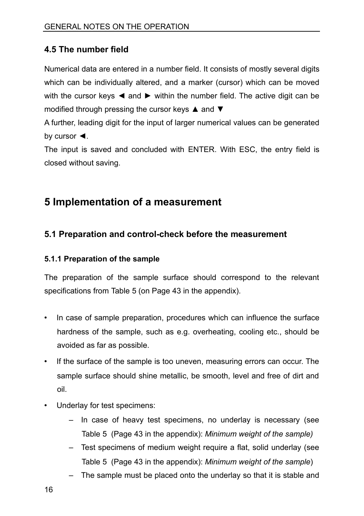## **4.5 The number field**

Numerical data are entered in a number field. It consists of mostly several digits which can be individually altered, and a marker (cursor) which can be moved with the cursor keys < and ► within the number field. The active digit can be modified through pressing the cursor keys ▲ and ▼

A further, leading digit for the input of larger numerical values can be generated by cursor ◄.

The input is saved and concluded with ENTER. With ESC, the entry field is closed without saving.

# **5 Implementation of a measurement**

## **5.1 Preparation and control-check before the measurement**

#### **5.1.1 Preparation of the sample**

The preparation of the sample surface should correspond to the relevant specifications from [Table 5](#page-42-0) (on Page [43](#page-42-0) in the appendix).

- In case of sample preparation, procedures which can influence the surface hardness of the sample, such as e.g. overheating, cooling etc., should be avoided as far as possible.
- If the surface of the sample is too uneven, measuring errors can occur. The sample surface should shine metallic, be smooth, level and free of dirt and oil.
- Underlay for test specimens:
	- In case of heavy test specimens, no underlay is necessary (see [Table 5](#page-42-0) (Page [43](#page-42-0) in the appendix): *Minimum weight of the sample)*
	- Test specimens of medium weight require a flat, solid underlay (see [Table 5](#page-42-0) (Page [43](#page-42-0) in the appendix): *Minimum weight of the sample*)
	- The sample must be placed onto the underlay so that it is stable and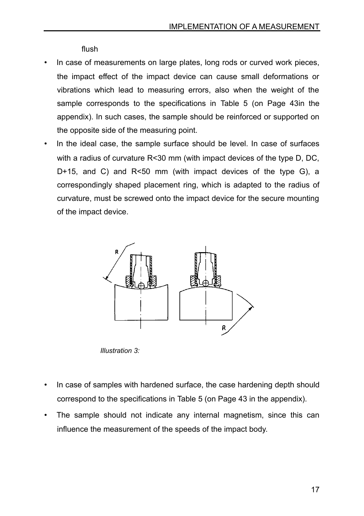flush

- In case of measurements on large plates, long rods or curved work pieces, the impact effect of the impact device can cause small deformations or vibrations which lead to measuring errors, also when the weight of the sample corresponds to the specifications in [Table 5](#page-42-0) (on Page [43i](#page-42-0)n the appendix). In such cases, the sample should be reinforced or supported on the opposite side of the measuring point.
- In the ideal case, the sample surface should be level. In case of surfaces with a radius of curvature R<30 mm (with impact devices of the type D, DC, D+15, and C) and R<50 mm (with impact devices of the type G), a correspondingly shaped placement ring, which is adapted to the radius of curvature, must be screwed onto the impact device for the secure mounting of the impact device.



*Illustration 3:* 

- In case of samples with hardened surface, the case hardening depth should correspond to the specifications in [Table 5](#page-42-0) (on Page [43](#page-42-0) in the appendix).
- The sample should not indicate any internal magnetism, since this can influence the measurement of the speeds of the impact body.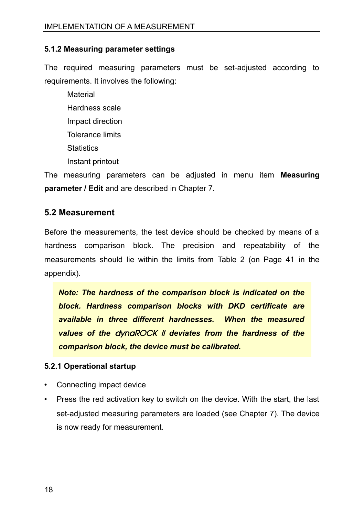#### **5.1.2 Measuring parameter settings**

The required measuring parameters must be set-adjusted according to requirements. It involves the following:

Material Hardness scale Impact direction Tolerance limits **Statistics** Instant printout

The measuring parameters can be adjusted in menu item **Measuring parameter / Edit** and are described in Chapter [7.](#page-23-0)

#### **5.2 Measurement**

Before the measurements, the test device should be checked by means of a hardness comparison block. The precision and repeatability of the measurements should lie within the limits from [Table 2](#page-40-1) (on Page [41](#page-40-1) in the appendix).

*Note: The hardness of the comparison block is indicated on the block. Hardness comparison blocks with DKD certificate are available in three different hardnesses. When the measured values of the* dynaROCK II *deviates from the hardness of the comparison block, the device must be calibrated.*

#### **5.2.1 Operational startup**

- Connecting impact device
- Press the red activation key to switch on the device. With the start, the last set-adjusted measuring parameters are loaded (see Chapter [7\)](#page-23-0). The device is now ready for measurement.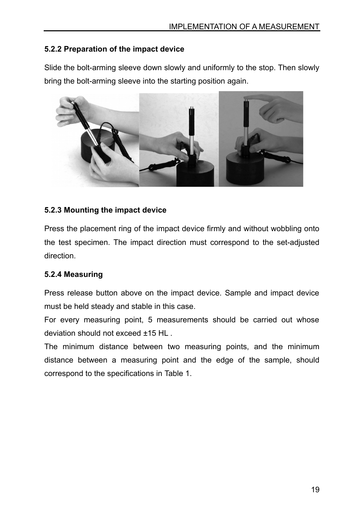#### **5.2.2 Preparation of the impact device**

Slide the bolt-arming sleeve down slowly and uniformly to the stop. Then slowly bring the bolt-arming sleeve into the starting position again.



#### **5.2.3 Mounting the impact device**

Press the placement ring of the impact device firmly and without wobbling onto the test specimen. The impact direction must correspond to the set-adjusted direction.

#### **5.2.4 Measuring**

Press release button above on the impact device. Sample and impact device must be held steady and stable in this case.

For every measuring point, 5 measurements should be carried out whose deviation should not exceed ±15 HL .

The minimum distance between two measuring points, and the minimum distance between a measuring point and the edge of the sample, should correspond to the specifications in [Table 1.](#page-19-0)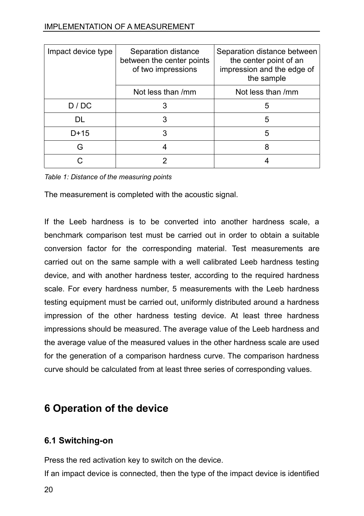| Impact device type | Separation distance<br>between the center points<br>of two impressions | Separation distance between<br>the center point of an<br>impression and the edge of<br>the sample |
|--------------------|------------------------------------------------------------------------|---------------------------------------------------------------------------------------------------|
|                    | Not less than /mm                                                      | Not less than /mm                                                                                 |
| D / DC             | 3                                                                      | 5                                                                                                 |
| DL                 |                                                                        | 5                                                                                                 |
| D+15               |                                                                        | 5                                                                                                 |
| G                  |                                                                        |                                                                                                   |
|                    |                                                                        |                                                                                                   |

<span id="page-19-0"></span>*Table 1: Distance of the measuring points*

The measurement is completed with the acoustic signal.

If the Leeb hardness is to be converted into another hardness scale, a benchmark comparison test must be carried out in order to obtain a suitable conversion factor for the corresponding material. Test measurements are carried out on the same sample with a well calibrated Leeb hardness testing device, and with another hardness tester, according to the required hardness scale. For every hardness number, 5 measurements with the Leeb hardness testing equipment must be carried out, uniformly distributed around a hardness impression of the other hardness testing device. At least three hardness impressions should be measured. The average value of the Leeb hardness and the average value of the measured values in the other hardness scale are used for the generation of a comparison hardness curve. The comparison hardness curve should be calculated from at least three series of corresponding values.

# **6 Operation of the device**

## **6.1 Switching-on**

Press the red activation key to switch on the device.

If an impact device is connected, then the type of the impact device is identified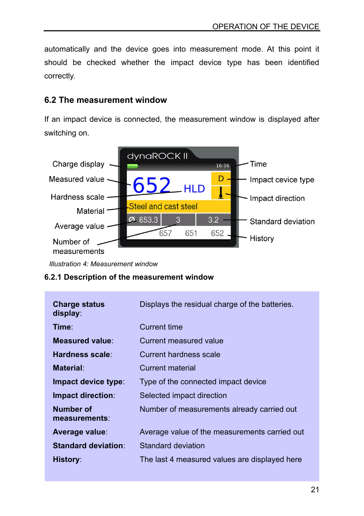automatically and the device goes into measurement mode. At this point it should be checked whether the impact device type has been identified correctly.

## **6.2 The measurement window**

If an impact device is connected, the measurement window is displayed after switching on.

![](_page_20_Figure_4.jpeg)

*Illustration 4: Measurement window*

#### **6.2.1 Description of the measurement window**

| <b>Charge status</b><br>display: | Displays the residual charge of the batteries. |
|----------------------------------|------------------------------------------------|
| Time∶                            | Current time                                   |
| Measured value:                  | Current measured value                         |
| Hardness scale:                  | Current hardness scale                         |
| Material:                        | Current material                               |
| Impact device type:              | Type of the connected impact device            |
| Impact direction:                | Selected impact direction                      |
| Number of<br>measurements:       | Number of measurements already carried out     |
| Average value:                   | Average value of the measurements carried out  |
| <b>Standard deviation:</b>       | Standard deviation                             |
| History:                         | The last 4 measured values are displayed here  |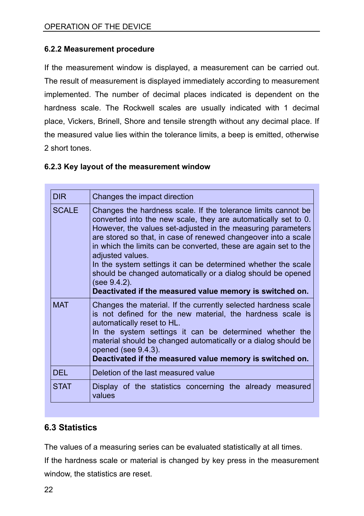#### **6.2.2 Measurement procedure**

If the measurement window is displayed, a measurement can be carried out. The result of measurement is displayed immediately according to measurement implemented. The number of decimal places indicated is dependent on the hardness scale. The Rockwell scales are usually indicated with 1 decimal place, Vickers, Brinell, Shore and tensile strength without any decimal place. If the measured value lies within the tolerance limits, a beep is emitted, otherwise 2 short tones.

#### **6.2.3 Key layout of the measurement window**

| <b>DIR</b>   | Changes the impact direction                                                                                                                                                                                                                                                                                                                                                                                                                                                                                                                                           |
|--------------|------------------------------------------------------------------------------------------------------------------------------------------------------------------------------------------------------------------------------------------------------------------------------------------------------------------------------------------------------------------------------------------------------------------------------------------------------------------------------------------------------------------------------------------------------------------------|
| <b>SCALE</b> | Changes the hardness scale. If the tolerance limits cannot be<br>converted into the new scale, they are automatically set to 0.<br>However, the values set-adjusted in the measuring parameters<br>are stored so that, in case of renewed changeover into a scale<br>in which the limits can be converted, these are again set to the<br>adjusted values.<br>In the system settings it can be determined whether the scale<br>should be changed automatically or a dialog should be opened<br>(see 9.4.2).<br>Deactivated if the measured value memory is switched on. |
| <b>MAT</b>   | Changes the material. If the currently selected hardness scale<br>is not defined for the new material, the hardness scale is<br>automatically reset to HL.<br>In the system settings it can be determined whether the<br>material should be changed automatically or a dialog should be<br>opened (see 9.4.3).<br>Deactivated if the measured value memory is switched on.                                                                                                                                                                                             |
| DEL.         | Deletion of the last measured value                                                                                                                                                                                                                                                                                                                                                                                                                                                                                                                                    |
| <b>STAT</b>  | Display of the statistics concerning the already measured<br>values                                                                                                                                                                                                                                                                                                                                                                                                                                                                                                    |

## **6.3 Statistics**

The values of a measuring series can be evaluated statistically at all times.

If the hardness scale or material is changed by key press in the measurement window, the statistics are reset.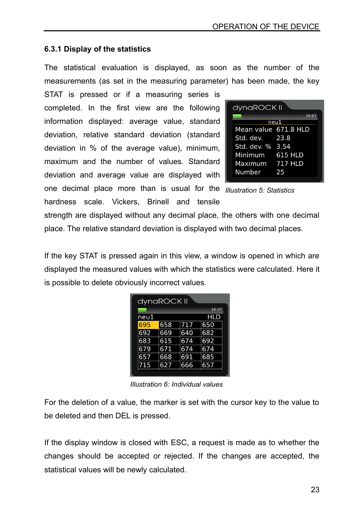#### <span id="page-22-0"></span>**6.3.1 Display of the statistics**

The statistical evaluation is displayed, as soon as the number of the measurements (as set in the measuring parameter) has been made, the key

STAT is pressed or if a measuring series is completed. In the first view are the following information displayed: average value, standard deviation, relative standard deviation (standard deviation in % of the average value), minimum, maximum and the number of values. Standard deviation and average value are displayed with

| dynaROCK II          |                |  |  |  |  |  |
|----------------------|----------------|--|--|--|--|--|
|                      | 16:07          |  |  |  |  |  |
|                      | neu1           |  |  |  |  |  |
| Mean value 671.8 HLD |                |  |  |  |  |  |
| Std. dev. 23.8       |                |  |  |  |  |  |
| Std. dev. % 3.54     |                |  |  |  |  |  |
| Minimum              | 615 HLD        |  |  |  |  |  |
| Maximum              | <b>717 HLD</b> |  |  |  |  |  |
| Number               | 25             |  |  |  |  |  |
|                      |                |  |  |  |  |  |

one decimal place more than is usual for the *Illustration 5: Statistics* hardness scale. Vickers, Brinell and tensile

strength are displayed without any decimal place, the others with one decimal place. The relative standard deviation is displayed with two decimal places.

If the key STAT is pressed again in this view, a window is opened in which are displayed the measured values with which the statistics were calculated. Here it is possible to delete obviously incorrect values.

| dynaROCK II |     |     |       |  |  |  |  |
|-------------|-----|-----|-------|--|--|--|--|
|             |     |     | 16:07 |  |  |  |  |
| neu1        |     |     | HLD   |  |  |  |  |
| 695         | 658 | 717 | 650   |  |  |  |  |
| 692         | 669 | 640 | 682   |  |  |  |  |
| 683         | 615 | 674 | 692   |  |  |  |  |
| 679         | 671 | 674 | 674   |  |  |  |  |
| 657         | 668 | 691 | 685   |  |  |  |  |
| 715         | 627 | 666 | 657   |  |  |  |  |
|             |     |     |       |  |  |  |  |

*Illustration 6: Individual values*

For the deletion of a value, the marker is set with the cursor key to the value to be deleted and then DEL is pressed.

If the display window is closed with ESC, a request is made as to whether the changes should be accepted or rejected. If the changes are accepted, the statistical values will be newly calculated.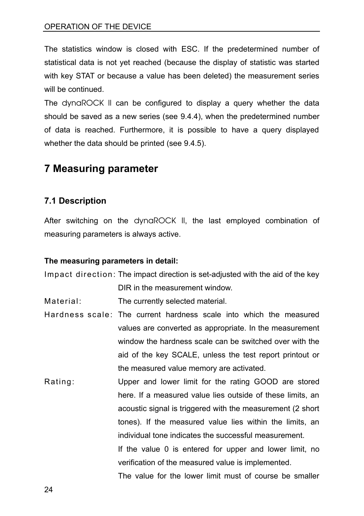The statistics window is closed with ESC. If the predetermined number of statistical data is not yet reached (because the display of statistic was started with key STAT or because a value has been deleted) the measurement series will be continued.

The dynaROCK II can be configured to display a query whether the data should be saved as a new series (see [9.4.4\)](#page-33-1), when the predetermined number of data is reached. Furthermore, it is possible to have a query displayed whether the data should be printed (see [9.4.5\)](#page-33-0).

# <span id="page-23-0"></span>**7 Measuring parameter**

## **7.1 Description**

After switching on the dynaROCK II, the last employed combination of measuring parameters is always active.

#### **The measuring parameters in detail:**

Impact direction: The impact direction is set-adjusted with the aid of the key

DIR in the measurement window.

Material: The currently selected material.

- Hardness scale: The current hardness scale into which the measured values are converted as appropriate. In the measurement window the hardness scale can be switched over with the aid of the key SCALE, unless the test report printout or the measured value memory are activated.
- Rating: Upper and lower limit for the rating GOOD are stored here. If a measured value lies outside of these limits, an acoustic signal is triggered with the measurement (2 short tones). If the measured value lies within the limits, an individual tone indicates the successful measurement. If the value 0 is entered for upper and lower limit, no verification of the measured value is implemented. The value for the lower limit must of course be smaller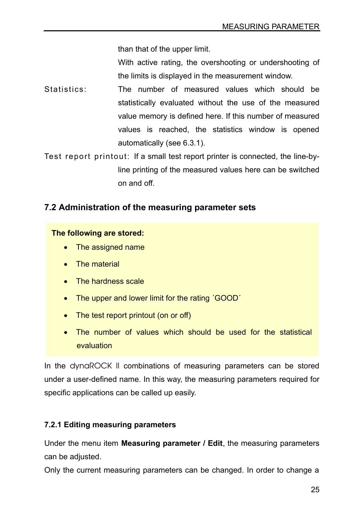than that of the upper limit.

With active rating, the overshooting or undershooting of the limits is displayed in the measurement window.

Statistics: The number of measured values which should be statistically evaluated without the use of the measured value memory is defined here. If this number of measured values is reached, the statistics window is opened automatically (see [6.3.1\)](#page-22-0).

Test report printout: If a small test report printer is connected, the line-byline printing of the measured values here can be switched on and off.

## **7.2 Administration of the measuring parameter sets**

#### **The following are stored:**

- The assigned name
- The material
- The hardness scale
- The upper and lower limit for the rating 'GOOD'
- The test report printout (on or off)
- The number of values which should be used for the statistical evaluation

In the dynaROCK II combinations of measuring parameters can be stored under a user-defined name. In this way, the measuring parameters required for specific applications can be called up easily.

#### **7.2.1 Editing measuring parameters**

Under the menu item **Measuring parameter / Edit**, the measuring parameters can be adjusted.

Only the current measuring parameters can be changed. In order to change a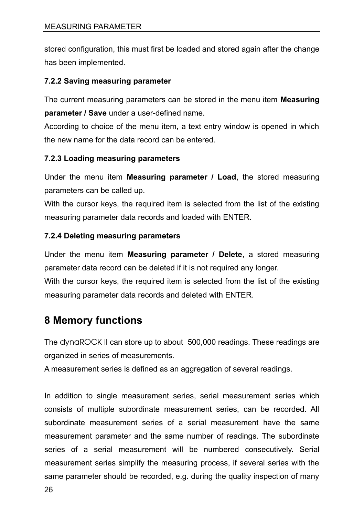stored configuration, this must first be loaded and stored again after the change has been implemented.

#### **7.2.2 Saving measuring parameter**

The current measuring parameters can be stored in the menu item **Measuring parameter / Save** under a user-defined name.

According to choice of the menu item, a text entry window is opened in which the new name for the data record can be entered.

#### **7.2.3 Loading measuring parameters**

Under the menu item **Measuring parameter / Load**, the stored measuring parameters can be called up.

With the cursor keys, the required item is selected from the list of the existing measuring parameter data records and loaded with ENTER.

#### **7.2.4 Deleting measuring parameters**

Under the menu item **Measuring parameter / Delete**, a stored measuring parameter data record can be deleted if it is not required any longer. With the cursor keys, the required item is selected from the list of the existing measuring parameter data records and deleted with ENTER.

# **8 Memory functions**

The dynaROCK II can store up to about 500,000 readings. These readings are organized in series of measurements.

A measurement series is defined as an aggregation of several readings.

In addition to single measurement series, serial measurement series which consists of multiple subordinate measurement series, can be recorded. All subordinate measurement series of a serial measurement have the same measurement parameter and the same number of readings. The subordinate series of a serial measurement will be numbered consecutively. Serial measurement series simplify the measuring process, if several series with the same parameter should be recorded, e.g. during the quality inspection of many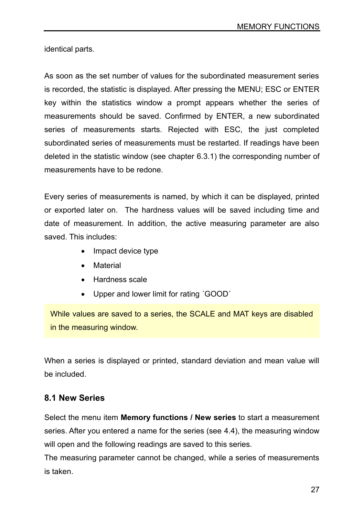identical parts.

As soon as the set number of values for the subordinated measurement series is recorded, the statistic is displayed. After pressing the MENU; ESC or ENTER key within the statistics window a prompt appears whether the series of measurements should be saved. Confirmed by ENTER, a new subordinated series of measurements starts. Rejected with ESC, the just completed subordinated series of measurements must be restarted. If readings have been deleted in the statistic window (see chapter [6.3.1\)](#page-22-0) the corresponding number of measurements have to be redone.

Every series of measurements is named, by which it can be displayed, printed or exported later on. The hardness values will be saved including time and date of measurement. In addition, the active measuring parameter are also saved. This includes:

- Impact device type
- Material
- Hardness scale
- Upper and lower limit for rating ´GOOD´

While values are saved to a series, the SCALE and MAT keys are disabled in the measuring window.

When a series is displayed or printed, standard deviation and mean value will be included.

## **8.1 New Series**

Select the menu item **Memory functions / New series** to start a measurement series. After you entered a name for the series (see [4.4\)](#page-13-0), the measuring window will open and the following readings are saved to this series.

The measuring parameter cannot be changed, while a series of measurements is taken.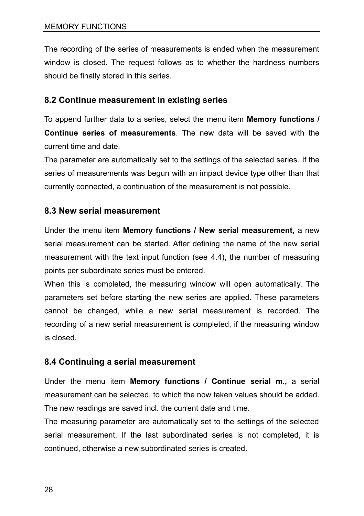The recording of the series of measurements is ended when the measurement window is closed. The request follows as to whether the hardness numbers should be finally stored in this series.

## **8.2 Continue measurement in existing series**

To append further data to a series, select the menu item **Memory functions / Continue series of measurements**. The new data will be saved with the current time and date.

The parameter are automatically set to the settings of the selected series. If the series of measurements was begun with an impact device type other than that currently connected, a continuation of the measurement is not possible.

## **8.3 New serial measurement**

Under the menu item **Memory functions / New serial measurement,** a new serial measurement can be started. After defining the name of the new serial measurement with the text input function (see [4.4\)](#page-13-0), the number of measuring points per subordinate series must be entered.

When this is completed, the measuring window will open automatically. The parameters set before starting the new series are applied. These parameters cannot be changed, while a new serial measurement is recorded. The recording of a new serial measurement is completed, if the measuring window is closed.

## **8.4 Continuing a serial measurement**

Under the menu item **Memory functions / Continue serial m.,** a serial measurement can be selected, to which the now taken values should be added. The new readings are saved incl. the current date and time.

The measuring parameter are automatically set to the settings of the selected serial measurement. If the last subordinated series is not completed, it is continued, otherwise a new subordinated series is created.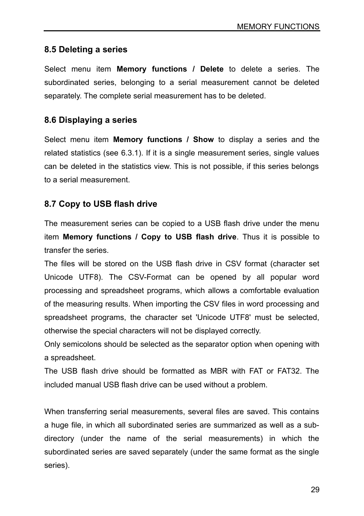## **8.5 Deleting a series**

Select menu item **Memory functions / Delete** to delete a series. The subordinated series, belonging to a serial measurement cannot be deleted separately. The complete serial measurement has to be deleted.

## **8.6 Displaying a series**

Select menu item **Memory functions / Show** to display a series and the related statistics (see [6.3.1\)](#page-22-0). If it is a single measurement series, single values can be deleted in the statistics view. This is not possible, if this series belongs to a serial measurement.

## **8.7 Copy to USB flash drive**

The measurement series can be copied to a USB flash drive under the menu item **Memory functions / Copy to USB flash drive**. Thus it is possible to transfer the series.

The files will be stored on the USB flash drive in CSV format (character set Unicode UTF8). The CSV-Format can be opened by all popular word processing and spreadsheet programs, which allows a comfortable evaluation of the measuring results. When importing the CSV files in word processing and spreadsheet programs, the character set 'Unicode UTF8' must be selected, otherwise the special characters will not be displayed correctly.

Only semicolons should be selected as the separator option when opening with a spreadsheet.

The USB flash drive should be formatted as MBR with FAT or FAT32. The included manual USB flash drive can be used without a problem.

When transferring serial measurements, several files are saved. This contains a huge file, in which all subordinated series are summarized as well as a subdirectory (under the name of the serial measurements) in which the subordinated series are saved separately (under the same format as the single series).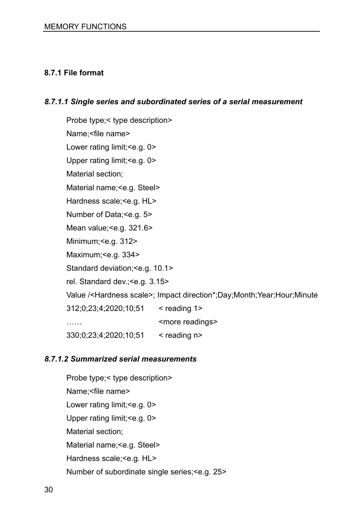#### **8.7.1 File format**

#### *8.7.1.1 Single series and subordinated series of a serial measurement*

Probe type;< type description> Name;<file name> Lower rating limit; <e.g. 0> Upper rating limit; <e.g. 0> Material section; Material name;<e.g. Steel> Hardness scale;<e.g. HL> Number of Data;<e.g. 5> Mean value; < e.g. 321.6> Minimum;<e.g. 312> Maximum;<e.g. 334> Standard deviation;<e.g. 10.1> rel. Standard dev.;<e.g. 3.15> Value /<Hardness scale>; Impact direction\*;Day;Month;Year;Hour;Minute 312;0;23;4;2020;10;51 < reading 1> …… Since readings> 330;0;23;4;2020;10;51 < reading n>

#### *8.7.1.2 Summarized serial measurements*

Probe type;< type description> Name;<file name> Lower rating limit; <e.g. 0> Upper rating limit;<e.g. 0> Material section; Material name;<e.g. Steel> Hardness scale; < e.g. HL> Number of subordinate single series;<e.g. 25>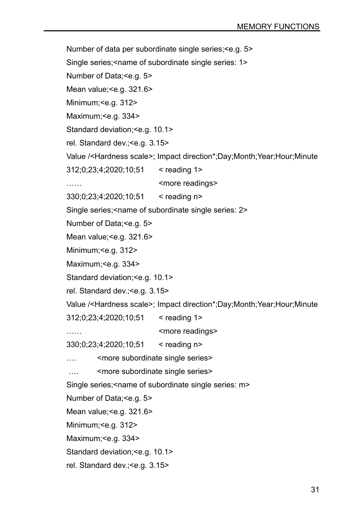Number of data per subordinate single series;<e.g. 5> Single series;<name of subordinate single series: 1> Number of Data;<e.g. 5> Mean value: < e.g. 321.6> Minimum;<e.g. 312> Maximum; <e.g. 334> Standard deviation;<e.g. 10.1> rel. Standard dev.;<e.g. 3.15> Value /<Hardness scale>; Impact direction\*;Day;Month;Year;Hour;Minute 312;0;23;4;2020;10;51 < reading 1> …… Since readings> 330;0;23;4;2020;10;51 < reading n> Single series;<name of subordinate single series: 2> Number of Data; <e.g. 5> Mean value; <e.g. 321.6> Minimum;<e.g. 312> Maximum: < e.g. 334> Standard deviation;<e.g. 10.1> rel. Standard dev.;<e.g. 3.15> Value /<Hardness scale>; Impact direction\*;Day;Month;Year;Hour;Minute 312;0;23;4;2020;10;51 < reading 1> …… Since readings> 330;0;23;4;2020;10;51 < reading n> .... <more subordinate single series> .... <more subordinate single series> Single series;<name of subordinate single series: m> Number of Data; <e.g. 5> Mean value; <e.g. 321.6> Minimum;<e.g. 312> Maximum; <e.g. 334> Standard deviation;<e.g. 10.1> rel. Standard dev.;<e.g. 3.15>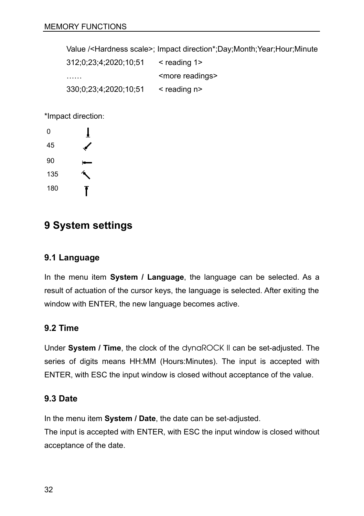Value /<Hardness scale>; Impact direction\*;Day;Month;Year;Hour;Minute

312;0;23;4;2020;10;51 < reading 1> …… Since readings> 330;0;23;4;2020;10;51 < reading n>

\*Impact direction:

![](_page_31_Figure_4.jpeg)

## **9 System settings**

#### **9.1 Language**

In the menu item **System / Language**, the language can be selected. As a result of actuation of the cursor keys, the language is selected. After exiting the window with ENTER, the new language becomes active.

## **9.2 Time**

Under **System / Time**, the clock of the dynaROCK II can be set-adjusted. The series of digits means HH:MM (Hours:Minutes). The input is accepted with ENTER, with ESC the input window is closed without acceptance of the value.

## **9.3 Date**

In the menu item **System / Date**, the date can be set-adjusted.

The input is accepted with ENTER, with ESC the input window is closed without acceptance of the date.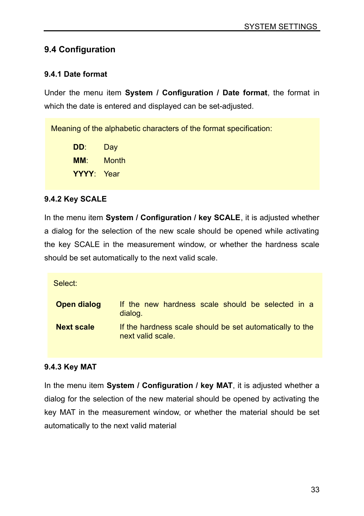## **9.4 Configuration**

#### **9.4.1 Date format**

Under the menu item **System / Configuration / Date format**, the format in which the date is entered and displayed can be set-adjusted.

Meaning of the alphabetic characters of the format specification:

**DD**: Day **MM**: Month **YYYY**: Year

#### <span id="page-32-1"></span>**9.4.2 Key SCALE**

In the menu item **System / Configuration / key SCALE**, it is adjusted whether a dialog for the selection of the new scale should be opened while activating the key SCALE in the measurement window, or whether the hardness scale should be set automatically to the next valid scale.

Select:

| Open dialog       | If the new hardness scale should be selected in a<br>dialog.                  |
|-------------------|-------------------------------------------------------------------------------|
| <b>Next scale</b> | If the hardness scale should be set automatically to the<br>next valid scale. |

#### <span id="page-32-0"></span>**9.4.3 Key MAT**

In the menu item **System / Configuration / key MAT**, it is adjusted whether a dialog for the selection of the new material should be opened by activating the key MAT in the measurement window, or whether the material should be set automatically to the next valid material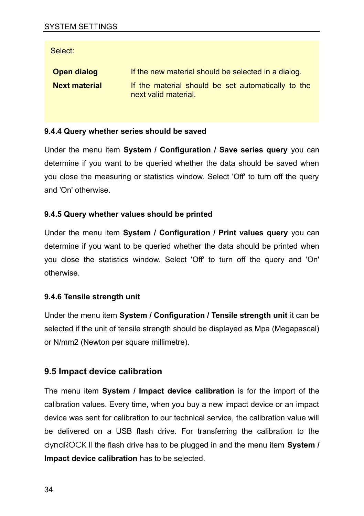Select:

| Open dialog          | If the new material should be selected in a dialog.                        |  |  |  |  |  |
|----------------------|----------------------------------------------------------------------------|--|--|--|--|--|
| <b>Next material</b> | If the material should be set automatically to the<br>next valid material. |  |  |  |  |  |

#### <span id="page-33-1"></span>**9.4.4 Query whether series should be saved**

Under the menu item **System / Configuration / Save series query** you can determine if you want to be queried whether the data should be saved when you close the measuring or statistics window. Select 'Off' to turn off the query and 'On' otherwise.

#### <span id="page-33-0"></span>**9.4.5 Query whether values should be printed**

Under the menu item **System / Configuration / Print values query** you can determine if you want to be queried whether the data should be printed when you close the statistics window. Select 'Off' to turn off the query and 'On' otherwise.

#### **9.4.6 Tensile strength unit**

Under the menu item **System / Configuration / Tensile strength unit** it can be selected if the unit of tensile strength should be displayed as Mpa (Megapascal) or N/mm2 (Newton per square millimetre).

## <span id="page-33-2"></span>**9.5 Impact device calibration**

The menu item **System / Impact device calibration** is for the import of the calibration values. Every time, when you buy a new impact device or an impact device was sent for calibration to our technical service, the calibration value will be delivered on a USB flash drive. For transferring the calibration to the dynaROCK II the flash drive has to be plugged in and the menu item **System / Impact device calibration** has to be selected.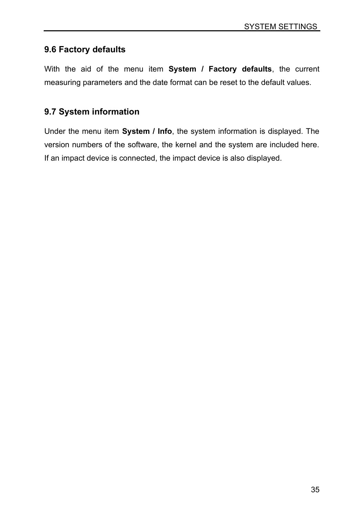## **9.6 Factory defaults**

With the aid of the menu item **System / Factory defaults**, the current measuring parameters and the date format can be reset to the default values.

## **9.7 System information**

Under the menu item **System / Info**, the system information is displayed. The version numbers of the software, the kernel and the system are included here. If an impact device is connected, the impact device is also displayed.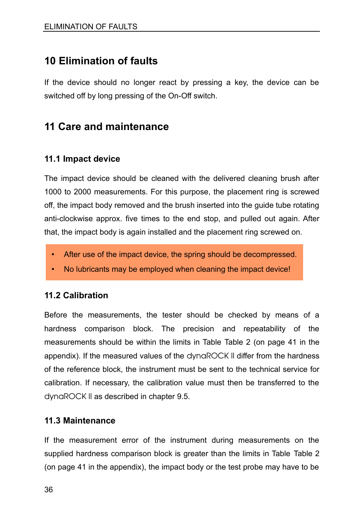# **10 Elimination of faults**

If the device should no longer react by pressing a key, the device can be switched off by long pressing of the On-Off switch.

# **11 Care and maintenance**

## **11.1 Impact device**

The impact device should be cleaned with the delivered cleaning brush after 1000 to 2000 measurements. For this purpose, the placement ring is screwed off, the impact body removed and the brush inserted into the guide tube rotating anti-clockwise approx. five times to the end stop, and pulled out again. After that, the impact body is again installed and the placement ring screwed on.

- After use of the impact device, the spring should be decompressed.
- No lubricants may be employed when cleaning the impact device!

## **11.2 Calibration**

Before the measurements, the tester should be checked by means of a hardness comparison block. The precision and repeatability of the measurements should be within the limits in Table [Table 2](#page-40-1) (on page [41](#page-40-1) in the appendix). If the measured values of the dynaROCK II differ from the hardness of the reference block, the instrument must be sent to the technical service for calibration. If necessary, the calibration value must then be transferred to the dynaROCK II as described in chapter [9.5.](#page-33-2)

#### **11.3 Maintenance**

If the measurement error of the instrument during measurements on the supplied hardness comparison block is greater than the limits in Table [Table 2](#page-40-1) (on page [41](#page-40-1) in the appendix), the impact body or the test probe may have to be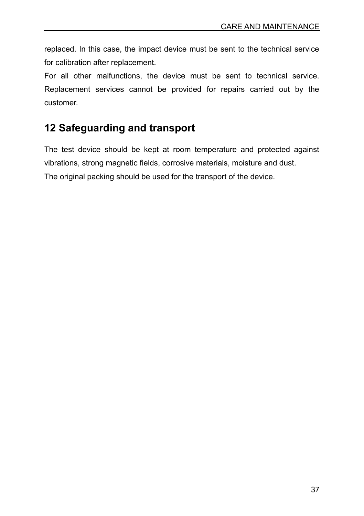replaced. In this case, the impact device must be sent to the technical service for calibration after replacement.

For all other malfunctions, the device must be sent to technical service. Replacement services cannot be provided for repairs carried out by the customer.

# **12 Safeguarding and transport**

The test device should be kept at room temperature and protected against vibrations, strong magnetic fields, corrosive materials, moisture and dust. The original packing should be used for the transport of the device.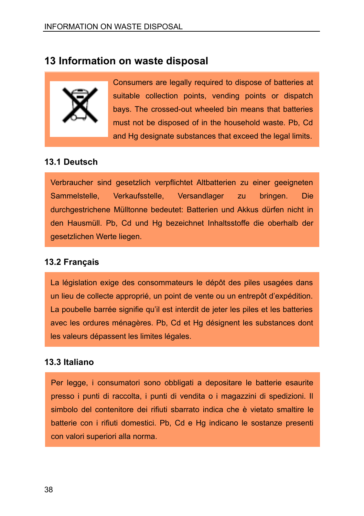## **13 Information on waste disposal**

![](_page_37_Picture_2.jpeg)

Consumers are legally required to dispose of batteries at suitable collection points, vending points or dispatch bays. The crossed-out wheeled bin means that batteries must not be disposed of in the household waste. Pb, Cd and Hg designate substances that exceed the legal limits.

## **13.1 Deutsch**

Verbraucher sind gesetzlich verpflichtet Altbatterien zu einer geeigneten Sammelstelle, Verkaufsstelle, Versandlager zu bringen. Die durchgestrichene Mülltonne bedeutet: Batterien und Akkus dürfen nicht in den Hausmüll. Pb, Cd und Hg bezeichnet Inhaltsstoffe die oberhalb der gesetzlichen Werte liegen.

## **13.2 Français**

La législation exige des consommateurs le dépôt des piles usagées dans un lieu de collecte approprié, un point de vente ou un entrepôt d'expédition. La poubelle barrée signifie qu'il est interdit de jeter les piles et les batteries avec les ordures ménagères. Pb, Cd et Hg désignent les substances dont les valeurs dépassent les limites légales.

## **13.3 Italiano**

Per legge, i consumatori sono obbligati a depositare le batterie esaurite presso i punti di raccolta, i punti di vendita o i magazzini di spedizioni. Il simbolo del contenitore dei rifiuti sbarrato indica che è vietato smaltire le batterie con i rifiuti domestici. Pb, Cd e Hg indicano le sostanze presenti con valori superiori alla norma.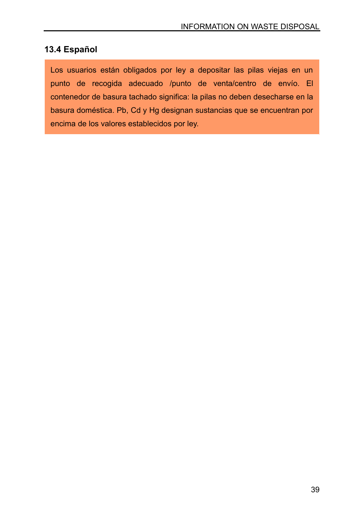## **13.4 Español**

Los usuarios están obligados por ley a depositar las pilas viejas en un punto de recogida adecuado /punto de venta/centro de envío. El contenedor de basura tachado significa: la pilas no deben desecharse en la basura doméstica. Pb, Cd y Hg designan sustancias que se encuentran por encima de los valores establecidos por ley.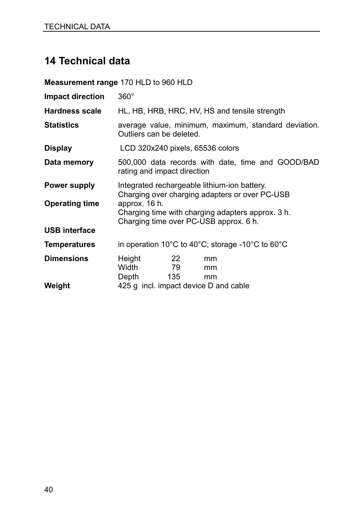# **14 Technical data**

**Measurement range** 170 HLD to 960 HLD **Impact direction** 360° **Hardness scale** HL, HB, HRB, HRC, HV, HS and tensile strength **Statistics** average value, minimum, maximum, standard deviation. Outliers can be deleted. **Display** LCD 320x240 pixels, 65536 colors **Data memory** 500,000 data records with date, time and GOOD/BAD rating and impact direction **Power supply** Integrated rechargeable lithium-ion battery. Charging over charging adapters or over PC-USB<br>approx. 16 h. **Operating time** Charging time with charging adapters approx. 3 h. Charging time over PC-USB approx. 6 h. **USB interface Temperatures** in operation 10°C to 40°C; storage -10°C to 60°C **Dimensions** Height 22 mm Width 79 mm Depth 135 mm **Weight** 425 g incl. impact device D and cable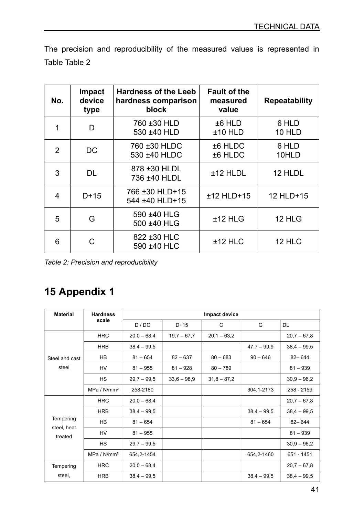The precision and reproducibility of the measured values is represented in Table [Table 2](#page-40-1)

| No.           | Impact<br>device<br>type | <b>Hardness of the Leeb</b><br>hardness comparison<br>block | <b>Fault of the</b><br>measured<br>value | <b>Repeatability</b> |
|---------------|--------------------------|-------------------------------------------------------------|------------------------------------------|----------------------|
| 1             | D                        | 760 ±30 HLD<br>530 ±40 HLD                                  | $±6$ HLD<br>$±10$ HLD                    | 6 HLD<br>10 HLD      |
| $\mathcal{P}$ | DC.                      | 760 ±30 HLDC<br>530 ±40 HLDC                                | ±6 HLDC<br>±6 HLDC                       | 6 HLD<br>10HLD       |
| 3             | DL                       | 878 ±30 HLDL<br>736 ±40 HLDL                                | $±12$ HLDL                               | 12 HLDL              |
| 4             | $D+15$                   | 766 ±30 HLD+15<br>544 ±40 HLD+15                            | $±12$ HLD $+15$                          | 12 HLD+15            |
| 5             | G                        | 590 ±40 HLG<br>500 ±40 HLG                                  | $±12$ HLG                                | 12 HLG               |
| 6             | C                        | 822 ±30 HLC<br>590 ±40 HLC                                  | $±12$ HLC                                | 12 HLC               |

<span id="page-40-1"></span>*Table 2: Precision and reproducibility*

# <span id="page-40-0"></span>**15 Appendix 1**

| <b>Material</b>        | <b>Hardness</b>         | Impact device |               |               |               |               |
|------------------------|-------------------------|---------------|---------------|---------------|---------------|---------------|
|                        | scale                   | D / DC        | $D+15$        | C             | G             | <b>DL</b>     |
|                        | <b>HRC</b>              | $20.0 - 68.4$ | $19.7 - 67.7$ | $20,1 - 63,2$ |               | $20.7 - 67.8$ |
|                        | <b>HRB</b>              | $38,4 - 99,5$ |               |               | $47,7 - 99,9$ | $38.4 - 99.5$ |
| Steel and cast         | HB                      | $81 - 654$    | $82 - 637$    | $80 - 683$    | $90 - 646$    | $82 - 644$    |
| steel                  | HV                      | $81 - 955$    | $81 - 928$    | $80 - 789$    |               | $81 - 939$    |
|                        | <b>HS</b>               | $29.7 - 99.5$ | $33,6 - 98,9$ | $31,8 - 87,2$ |               | $30.9 - 96.2$ |
|                        | MPa / N/mm <sup>2</sup> | 258-2180      |               |               | 304, 1-2173   | 258 - 2159    |
|                        | <b>HRC</b>              | $20.0 - 68.4$ |               |               |               | $20.7 - 67.8$ |
|                        | <b>HRB</b>              | $38,4 - 99,5$ |               |               | $38,4 - 99,5$ | $38.4 - 99.5$ |
| Tempering              | <b>HB</b>               | $81 - 654$    |               |               | $81 - 654$    | $82 - 644$    |
| steel, heat<br>treated | HV                      | $81 - 955$    |               |               |               | $81 - 939$    |
|                        | <b>HS</b>               | $29.7 - 99.5$ |               |               |               | $30.9 - 96.2$ |
|                        | MPa / N/mm <sup>2</sup> | 654, 2-1454   |               |               | 654,2-1460    | 651 - 1451    |
| Tempering              | <b>HRC</b>              | $20.0 - 68.4$ |               |               |               | $20.7 - 67.8$ |
| steel,                 | <b>HRB</b>              | $38.4 - 99.5$ |               |               | $38,4 - 99,5$ | $38,4 - 99,5$ |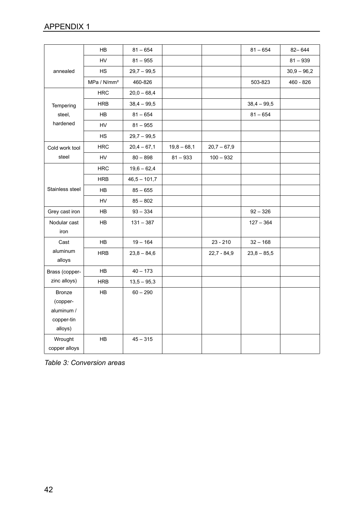|                                                           | <b>HB</b>               | $81 - 654$     |               |               | $81 - 654$    | $82 - 644$    |
|-----------------------------------------------------------|-------------------------|----------------|---------------|---------------|---------------|---------------|
|                                                           | HV                      | $81 - 955$     |               |               |               | $81 - 939$    |
| annealed                                                  | <b>HS</b>               | $29,7 - 99,5$  |               |               |               | $30,9 - 96,2$ |
|                                                           | MPa / N/mm <sup>2</sup> | 460-826        |               |               | 503-823       | 460 - 826     |
|                                                           | <b>HRC</b>              | $20,0 - 68,4$  |               |               |               |               |
| Tempering                                                 | <b>HRB</b>              | $38,4 - 99,5$  |               |               | $38,4 - 99,5$ |               |
| steel,                                                    | <b>HB</b>               | $81 - 654$     |               |               | $81 - 654$    |               |
| hardened                                                  | <b>HV</b>               | $81 - 955$     |               |               |               |               |
|                                                           | HS                      | $29,7 - 99,5$  |               |               |               |               |
| Cold work tool                                            | <b>HRC</b>              | $20,4 - 67,1$  | $19,8 - 68,1$ | $20,7 - 67,9$ |               |               |
| steel                                                     | HV                      | $80 - 898$     | $81 - 933$    | $100 - 932$   |               |               |
|                                                           | <b>HRC</b>              | $19,6 - 62,4$  |               |               |               |               |
|                                                           | <b>HRB</b>              | $46,5 - 101,7$ |               |               |               |               |
| Stainless steel                                           | <b>HB</b>               | $85 - 655$     |               |               |               |               |
|                                                           | <b>HV</b>               | $85 - 802$     |               |               |               |               |
| Grey cast iron                                            | HB                      | $93 - 334$     |               |               | $92 - 326$    |               |
| Nodular cast                                              | <b>HB</b>               | $131 - 387$    |               |               | $127 - 364$   |               |
| iron                                                      |                         |                |               |               |               |               |
| Cast                                                      | <b>HB</b>               | $19 - 164$     |               | $23 - 210$    | $32 - 168$    |               |
| aluminum<br>alloys                                        | <b>HRB</b>              | $23,8 - 84,6$  |               | $22,7 - 84,9$ | $23.8 - 85.5$ |               |
| Brass (copper-                                            | HB                      | $40 - 173$     |               |               |               |               |
| zinc alloys)                                              | <b>HRB</b>              | $13,5 - 95,3$  |               |               |               |               |
| Bronze<br>(copper-<br>aluminum /<br>copper-tin<br>alloys) | HB                      | $60 - 290$     |               |               |               |               |
| Wrought<br>copper alloys                                  | HB                      | $45 - 315$     |               |               |               |               |

<span id="page-41-0"></span>*Table 3: Conversion areas*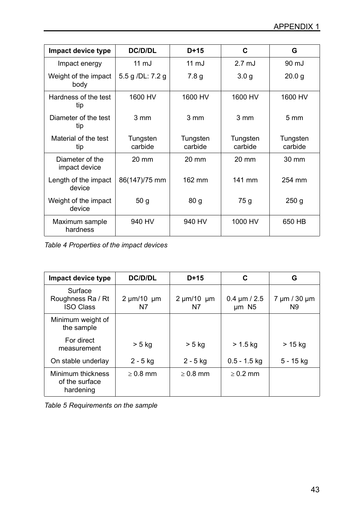| Impact device type               | DC/D/DL             | $D+15$              | C                   | G                   |
|----------------------------------|---------------------|---------------------|---------------------|---------------------|
| Impact energy                    | $11 \text{ mJ}$     | $11 \text{ mJ}$     | $2.7 \text{ mJ}$    | 90 mJ               |
| Weight of the impact<br>body     | 5.5 g /DL: 7.2 g    | 7.8 <sub>g</sub>    | 3.0 <sub>g</sub>    | 20.0 g              |
| Hardness of the test<br>tip      | 1600 HV             | 1600 HV             | 1600 HV             | 1600 HV             |
| Diameter of the test<br>tip      | $3 \, \text{mm}$    | 3 mm                | $3 \, \text{mm}$    | $5 \text{ mm}$      |
| Material of the test<br>tip      | Tungsten<br>carbide | Tungsten<br>carbide | Tungsten<br>carbide | Tungsten<br>carbide |
| Diameter of the<br>impact device | $20 \text{ mm}$     | $20 \text{ mm}$     | $20 \text{ mm}$     | $30 \text{ mm}$     |
| Length of the impact<br>device   | 86(147)/75 mm       | 162 mm              | 141 mm              | 254 mm              |
| Weight of the impact<br>device   | 50q                 | 80 <sub>g</sub>     | 75 g                | 250 <sub>g</sub>    |
| Maximum sample<br>hardness       | 940 HV              | 940 HV              | 1000 HV             | 650 HB              |

*Table 4 Properties of the impact devices*

| Impact device type                               | DC/D/DL                  | $D+15$                   | C                                        | G                              |
|--------------------------------------------------|--------------------------|--------------------------|------------------------------------------|--------------------------------|
| Surface<br>Roughness Ra / Rt<br><b>ISO Class</b> | $2 \mu m/10 \mu m$<br>N7 | $2 \mu m/10 \mu m$<br>N7 | $0.4 \mu m / 2.5$<br>$µm$ N <sub>5</sub> | 7 µm / 30 µm<br>N <sub>9</sub> |
| Minimum weight of<br>the sample                  |                          |                          |                                          |                                |
| For direct<br>measurement                        | > 5 kg                   | > 5 kg                   | > 1.5 kg                                 | > 15 kg                        |
| On stable underlay                               | 2 - 5 kg                 | 2 - 5 kg                 | $0.5 - 1.5$ kg                           | 5 - 15 kg                      |
| Minimum thickness<br>of the surface<br>hardening | $\geq 0.8$ mm            | $> 0.8$ mm               | $> 0.2$ mm                               |                                |

<span id="page-42-0"></span>

|  | Table 5 Requirements on the sample |  |  |
|--|------------------------------------|--|--|
|--|------------------------------------|--|--|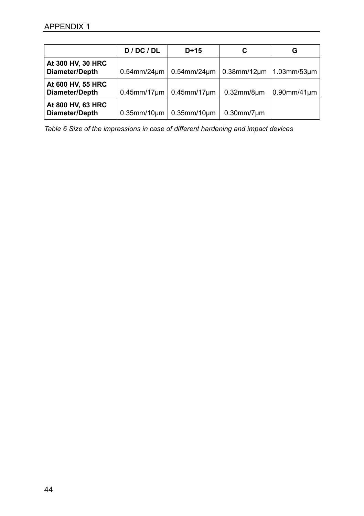|                                     | D / DC / DL          | $D+15$               | С                   | G                            |
|-------------------------------------|----------------------|----------------------|---------------------|------------------------------|
| At 300 HV, 30 HRC<br>Diameter/Depth | $0.54$ mm/24 $\mu$ m | $0.54$ mm/ $24$ um   |                     | $0.38$ mm/12µm   1.03mm/53µm |
| At 600 HV, 55 HRC<br>Diameter/Depth | $0.45$ mm/17 $\mu$ m | $0.45$ mm/17 $\mu$ m | $0.32$ mm/8 $\mu$ m | $0.90$ mm/41 $\mu$ m         |
| At 800 HV, 63 HRC<br>Diameter/Depth | $0.35$ mm/10 $\mu$ m | $0.35$ mm/10 $\mu$ m | $0.30$ mm/7 $\mu$ m |                              |

*Table 6 Size of the impressions in case of different hardening and impact devices*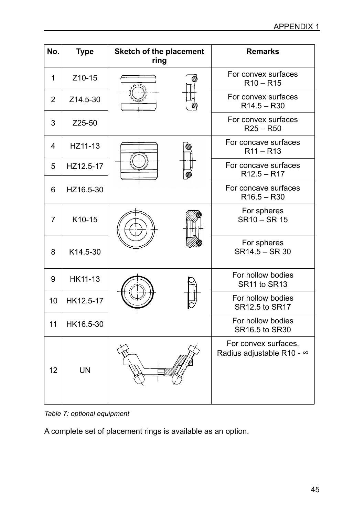| No.            | <b>Type</b> | Sketch of the placement<br>ring | <b>Remarks</b>                                    |
|----------------|-------------|---------------------------------|---------------------------------------------------|
| 1              | Z10-15      |                                 | For convex surfaces<br>$R10 - R15$                |
| $\overline{2}$ | Z14.5-30    |                                 | For convex surfaces<br>$R14.5 - R30$              |
| 3              | Z25-50      |                                 | For convex surfaces<br>$R25 - R50$                |
| 4              | HZ11-13     |                                 | For concave surfaces<br>$R11 - R13$               |
| 5              | HZ12.5-17   |                                 | For concave surfaces<br>$R12.5 - R17$             |
| 6              | HZ16.5-30   |                                 | For concave surfaces<br>$R16.5 - R30$             |
| $\overline{7}$ | K10-15      |                                 | For spheres<br>SR10 - SR 15                       |
| 8              | K14.5-30    |                                 | For spheres<br>SR14.5 - SR 30                     |
| 9              | HK11-13     |                                 | For hollow bodies<br>SR11 to SR13                 |
| 10             | HK12.5-17   |                                 | For hollow bodies<br>SR12.5 to SR17               |
| 11             | HK16.5-30   |                                 | For hollow bodies<br>SR16.5 to SR30               |
| 12             | UN          |                                 | For convex surfaces,<br>Radius adjustable R10 - ∞ |

*Table 7: optional equipment* 

A complete set of placement rings is available as an option.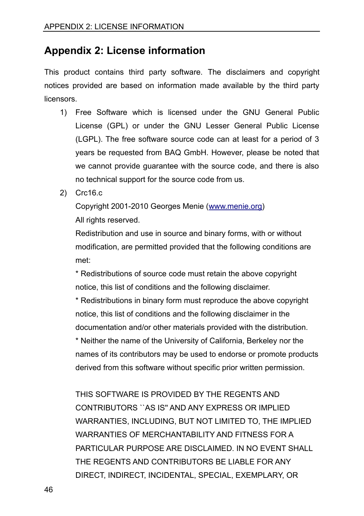# **Appendix 2: License information**

This product contains third party software. The disclaimers and copyright notices provided are based on information made available by the third party **licensors** 

- 1) Free Software which is licensed under the GNU General Public License (GPL) or under the GNU Lesser General Public License (LGPL). The free software source code can at least for a period of 3 years be requested from BAQ GmbH. However, please be noted that we cannot provide guarantee with the source code, and there is also no technical support for the source code from us.
- 2) Crc16.c

Copyright 2001-2010 Georges Menie [\(www.menie.org\)](http://www.menie.org/) All rights reserved.

Redistribution and use in source and binary forms, with or without modification, are permitted provided that the following conditions are met:

\* Redistributions of source code must retain the above copyright notice, this list of conditions and the following disclaimer.

\* Redistributions in binary form must reproduce the above copyright notice, this list of conditions and the following disclaimer in the documentation and/or other materials provided with the distribution.

\* Neither the name of the University of California, Berkeley nor the names of its contributors may be used to endorse or promote products derived from this software without specific prior written permission.

THIS SOFTWARE IS PROVIDED BY THE REGENTS AND CONTRIBUTORS ``AS IS'' AND ANY EXPRESS OR IMPLIED WARRANTIES, INCLUDING, BUT NOT LIMITED TO, THE IMPLIED WARRANTIES OF MERCHANTABILITY AND FITNESS FOR A PARTICULAR PURPOSE ARE DISCLAIMED. IN NO EVENT SHALL THE REGENTS AND CONTRIBUTORS BE LIABLE FOR ANY DIRECT, INDIRECT, INCIDENTAL, SPECIAL, EXEMPLARY, OR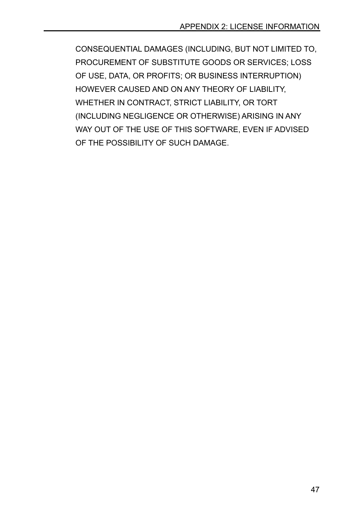CONSEQUENTIAL DAMAGES (INCLUDING, BUT NOT LIMITED TO, PROCUREMENT OF SUBSTITUTE GOODS OR SERVICES; LOSS OF USE, DATA, OR PROFITS; OR BUSINESS INTERRUPTION) HOWEVER CAUSED AND ON ANY THEORY OF LIABILITY, WHETHER IN CONTRACT, STRICT LIABILITY, OR TORT (INCLUDING NEGLIGENCE OR OTHERWISE) ARISING IN ANY WAY OUT OF THE USE OF THIS SOFTWARE, EVEN IF ADVISED OF THE POSSIBILITY OF SUCH DAMAGE.